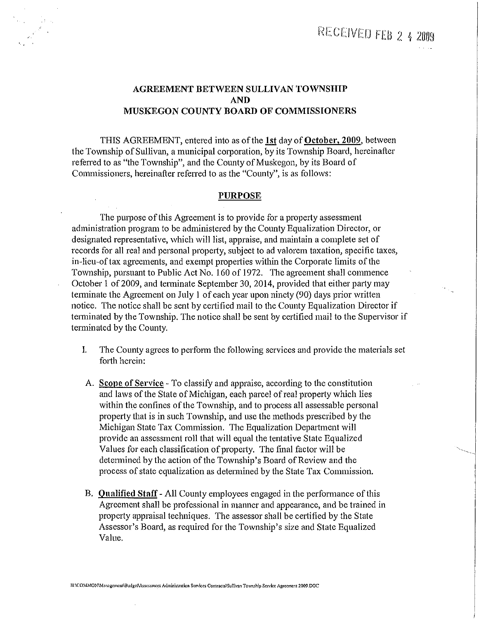## AGREEMENT BETWEEN SULLIVAN TOWNSHIP AND MUSKEGON COUNTY BOARD OF COMMISSIONERS

THIS AGREEMENT, entered into as of the 1st day of October, 2009, between the Township of Sullivan, a municipal corporation, by its Township Board, hereinafter referred to as "the Township", and the County of Muskegon, by its Board of Commissioners, hereinafter referred to as the "County'', is as follows:

#### PURPOSE

The purpose of this Agreement is to provide for a property assessment administration program to be administered by the County Equalization Director, or designated representative, which will list, appraise, and maintain a complete set of records for all real and personal propetty, subject to ad valorem taxation, specific taxes, in-lieu-of tax agreements, and exempt properties within the Corporate limits of the Township, pursuant to Public Act No. 160 of 1972. The agreement shall commence October 1 of 2009, and terminate September 30, 2014, provided that either party may terminate the Agreement on July 1 of each year upon ninety (90) days prior written notice. The notice shall be sent by certified mail to the County Equalization Director if terminated by the Township. The notice shall be sent by certified mail to the Supervisor if terminated by the County.

- I. The County agrees to perform the following services and provide the materials set forth herein:
- A. Scope of Service To classify and appraise, according to the constitution and laws of the State of Michigan, each parcel of real property which lies within the confines of the Township, and to process all assessable personal property that is in such Township, and use the methods prescribed by the Michigan State Tax Commission. The Equalization Department will provide an assessment roll that will equal the tentative State Equalized Values for each classification of property. The final factor will be determined by the action of the Township's Board of Review and the process of state equalization as determined by the State Tax Commission.
- B. Qualified Staff- All County employees engaged in the performance of this Agreement shall be professional in manner and appearance, and be trained in property appraisal techniques. The assessor shall be certified by the State Assessor's Board, as required for the Township's size and State Equalized Value.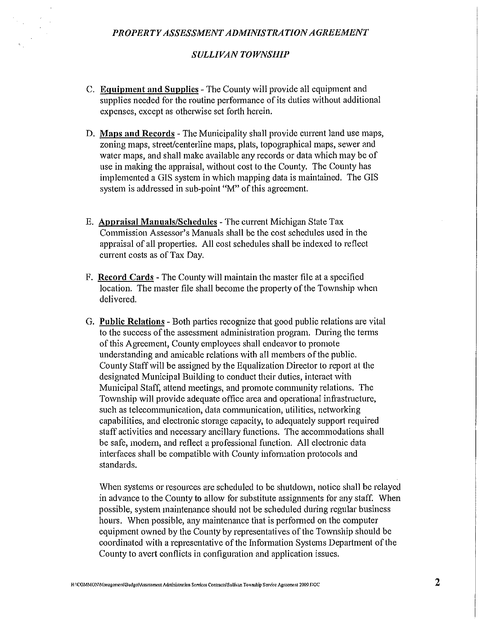#### *SULLIVAN TOWNSHIP*

- C. Equipment and Supplies The County will provide all equipment and supplies needed for the routine performance of its duties without additional expenses, except as otherwise set forth herein.
- D. Maps and Records The Municipality shall provide current land use maps, zoning maps, street/centerline maps, plats, topographical maps, sewer and water maps, and shall make available any records or data which may be of use in making the appraisal, without cost to the County. The County has implemented a GIS system in which mapping data is maintained. The GIS system is addressed in sub-point "M" of this agreement.
- E. Appraisal Manuals/Schedules The current Michigan State Tax Commission Assessor's Manuals shall be the cost schedules used in the appraisal of all properties. All cost schedules shall be indexed to reflect current costs as of Tax Day.
- F. Record Cards- The County will maintain the master file at a specified location. The master file shall become the property of the Township when delivered.
- G. Public Relations Both parties recognize that good public relations are vital to the success of the assessment administration program. During the terms of this Agreement, County employees shall endeavor to promote understanding and amicable relations with all members of the public. County Staff will be assigned by the Equalization Director to report at the designated Municipal Building to conduct their duties, interact with Municipal Staff, attend meetings, and promote community relations. The Township will provide adequate office area and operational infrastmcture, such as telecommunication, data communication, utilities, networking capabilities, and electronic storage capacity, to adequately support required staff activities and necessary ancillary functions. The accommodations shall be safe, modem, and reflect a professional function. All electronic data interfaces shall be compatible with County information protocols and standards.

When systems or resources are scheduled to be shutdown, notice shall be relayed in advance to the County to allow for substitute assignments for any staff. When possible, system maintenance should not be scheduled during regular business hours. When possible, any maintenance that is performed on the computer equipment owned by the County by representatives of the Township should be coordinated with a representative of the Information Systems Department of the County to avert conflicts in configuration and application issues.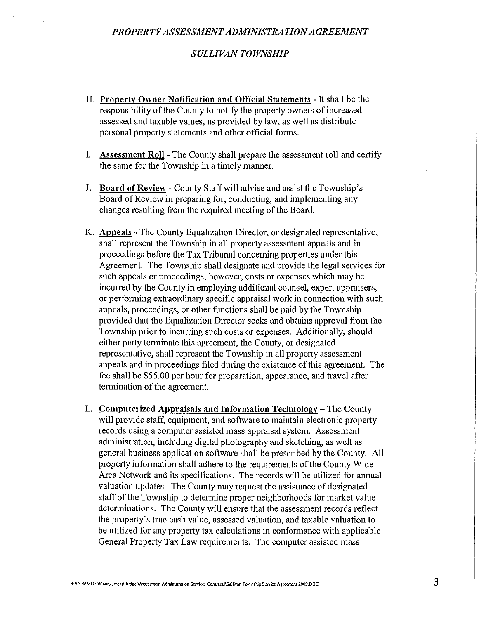#### *SULLIVAN TOWNSHIP*

- **H. Property Owner Notification and Official Statements** -It shall be the responsibility of the County to notify the property owners of increased assessed and taxable values, as provided by law, as well as distribute personal property statements and other official forms.
- I. **Assessment Roll** -The County shall prepare the assessment roll and certify the same for the Township in a timely manner.
- **J. Board of Review-** County Staff will advise and assist the Township's Board of Review in preparing for, conducting, and implementing any changes resulting from the required meeting of the Board.
- K. **Appeals**  The County Equalization Director, or designated representative, shall represent the Township in all property assessment appeals and in proceedings before the Tax Tribunal concerning properties under this Agreement. The Township shall designate and provide the legal services for such appeals or proceedings; however, costs or expenses which may be incurred by the County in employing additional counsel, expert appraisers, or performing extraordinary specific appraisal work in connection with such appeals, proceedings, or other functions shall be paid by the Township provided that the Equalization Director seeks and obtains approval from the Township prior to incurring such costs or expenses. Additionally, should either patty terminate this agreement, the County, or designated representative, shall represent the Township in all property assessment appeals and in proceedings filed during the existence of this agreement. The fee shall be \$55.00 per hour for preparation, appearance, and travel after tennination of the agreement.
- L. **Computerized Appraisals and Information Technology-** The County will provide staff, equipment, and software to maintain electronic property records using a computer assisted mass appraisal system. Assessment administration, including digital photography and sketching, as well as general business application software shall be prescribed by the County. All property information shall adhere to the requirements of the County Wide Area Network and its specifications. The records will be utilized for annual valuation updates. The County may request the assistance of designated staff of the Township to determine proper neighborhoods for market value determinations. The County will ensure that the assessment records reflect the property's true cash value, assessed valuation, and taxable valuation to be utilized for any property tax calculations in confonnance with applicable General Property Tax Law requirements. The computer assisted mass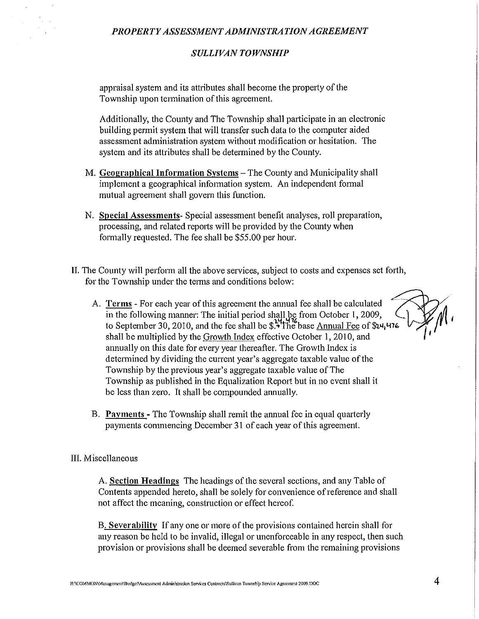### *PROPERTY ASSESSMENT ADMINISTRATION AGREEMENT*

## *SULLIVAN TOWNSHIP*

appraisal system and its attributes shall become the property of the Township upon termination of this agreement.

Additionally, the County and The Township shall participate in an electronic building permit system that will transfer such data to the computer aided assessment administration system without modification or hesitation. The system and its attributes shall be determined by the County.

- M. Geographical Information Systems- The County and Municipality shall implement a geographical information system. An independent formal mutual agreement shall govern this function.
- N. Special Assessments- Special assessment benefit analyses, roll preparation, processing, and related reports will be provided by the County when formally requested. The fee shall be \$55.00 per hour.
- II. The County will perform all the above services, subject to costs and expenses set forth, for the Township under the terms and conditions below:
	- A. Terms For each year of this agreement the annual fee shall be calculated in the following manner: The initial period shall be from October 1, 2009, to September 30, 2010, and the fee shall be  $\frac{1}{2}$ . The base Annual Fee of  $\frac{1}{2}$ . shall be multiplied by the Growth Index effective October 1, 2010, and mmually on this date for every year thereafter. The Growth Index is determined by dividing the current year's aggregate taxable value of the Township by the previous year's aggregate taxable value of The Township as published in the Equalization Report but in no event shall it be less than zero. It shall be compounded annually.
	- B. Payments -The Township shall remit the annual fee in equal quarterly payments commencing December 31 of each year of this agreement.

#### III. Miscellaneous

A. Section Headings The headings of the several sections, and any Table of Contents appended hereto, shall be solely for convenience of reference and shall not affect the meaning, construction or effect hereof.

B. Severability If any one or more of the provisions contained herein shall for any reason be held to be invalid, illegal or unenforceable in any respect, then such provision or provisions shall be deemed severable from the remaining provisions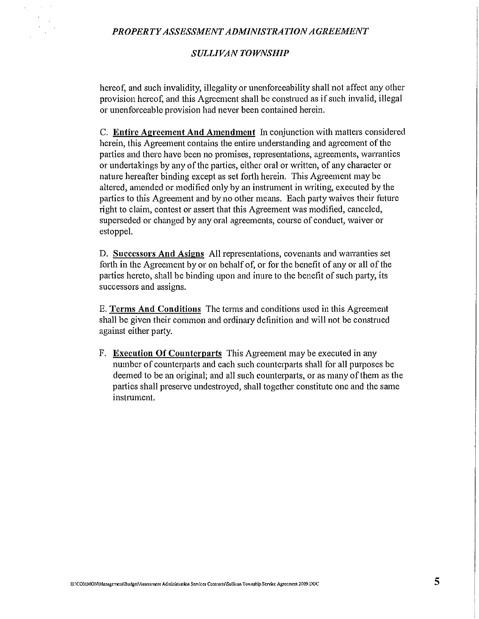#### *PROPERTY ASSESSMENT ADMINISTRATION AGREEMENT*

### *SULLIVAN TOWNSHIP*

hereof, and such invalidity, illegality or unenforceability shall not affect any other provision hereof, and this Agreement shall be constmed as if such invalid, illegal or unenforceable provision had never been contained herein.

C. **Entire Agreement And Amendment** In conjunction with matters considered herein, this Agreement contains the entire understanding and agreement of the parties and there have been no promises, representations, agreements, warranties or undetiakings by any of the parties, either oral or written, of any character or nature hereafter binding except as set forth herein. This Agreement may be altered, amended or modified only by an instrument in writing, executed by the parties to this Agreement and by no other means. Each party waives their future right to claim, contest or assert that this Agreement was modified, canceled, superseded or changed by any oral agreements, course of conduct, waiver or estoppel.

**D. Successors And Asigns All representations, covenants and warranties set** forth in the Agreement by or on behalf of, or for the benefit of any or all of the parties hereto, shall be binding upon and inure to the benefit of such party, its successors and assigns.

E. **Terms And Conditions** The terms and conditions used in this Agreement shall be given their common and ordinary definition and will not be construed against either party.

F. **Execution Of Counterparts** This Agreement may be executed in any number of counterparts and each such counterparts shall for all purposes be deemed to be an original; and all such counterparts, or as many of them as the parties shall preserve undestroyed, shall together constitute one and the same instrument.